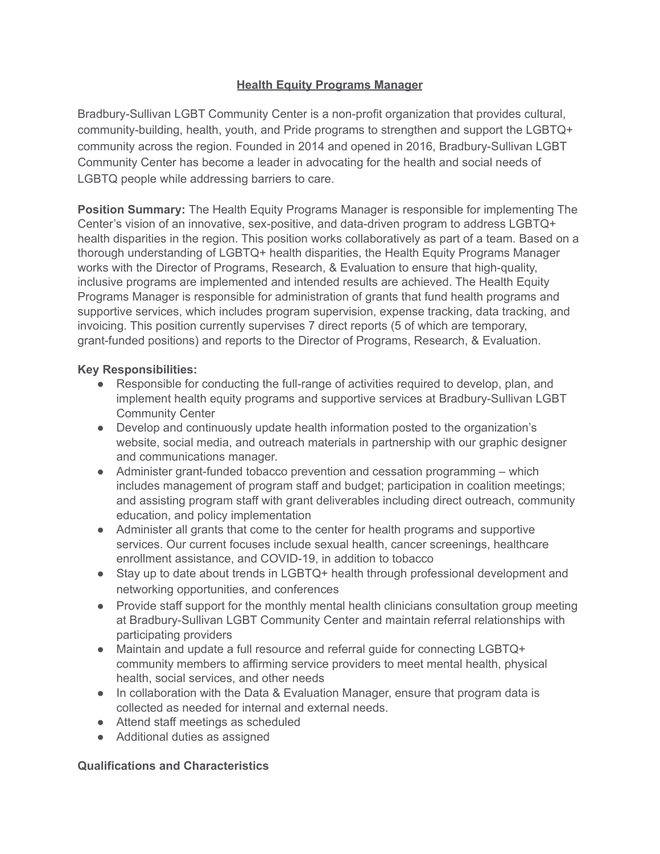# **Health Equity Programs Manager**

Bradbury-Sullivan LGBT Community Center is a non-profit organization that provides cultural, community-building, health, youth, and Pride programs to strengthen and support the LGBTQ+ community across the region. Founded in 2014 and opened in 2016, Bradbury-Sullivan LGBT Community Center has become a leader in advocating for the health and social needs of LGBTQ people while addressing barriers to care.

**Position Summary:** The Health Equity Programs Manager is responsible for implementing The Center's vision of an innovative, sex-positive, and data-driven program to address LGBTQ+ health disparities in the region. This position works collaboratively as part of a team. Based on a thorough understanding of LGBTQ+ health disparities, the Health Equity Programs Manager works with the Director of Programs, Research, & Evaluation to ensure that high-quality, inclusive programs are implemented and intended results are achieved. The Health Equity Programs Manager is responsible for administration of grants that fund health programs and supportive services, which includes program supervision, expense tracking, data tracking, and invoicing. This position currently supervises 7 direct reports (5 of which are temporary, grant-funded positions) and reports to the Director of Programs, Research, & Evaluation.

# **Key Responsibilities:**

- Responsible for conducting the full-range of activities required to develop, plan, and implement health equity programs and supportive services at Bradbury-Sullivan LGBT Community Center
- Develop and continuously update health information posted to the organization's website, social media, and outreach materials in partnership with our graphic designer and communications manager.
- Administer grant-funded tobacco prevention and cessation programming which includes management of program staff and budget; participation in coalition meetings; and assisting program staff with grant deliverables including direct outreach, community education, and policy implementation
- Administer all grants that come to the center for health programs and supportive services. Our current focuses include sexual health, cancer screenings, healthcare enrollment assistance, and COVID-19, in addition to tobacco
- Stay up to date about trends in LGBTQ+ health through professional development and networking opportunities, and conferences
- Provide staff support for the monthly mental health clinicians consultation group meeting at Bradbury-Sullivan LGBT Community Center and maintain referral relationships with participating providers
- Maintain and update a full resource and referral guide for connecting LGBTQ+ community members to affirming service providers to meet mental health, physical health, social services, and other needs
- In collaboration with the Data & Evaluation Manager, ensure that program data is collected as needed for internal and external needs.
- Attend staff meetings as scheduled
- Additional duties as assigned

# **Qualifications and Characteristics**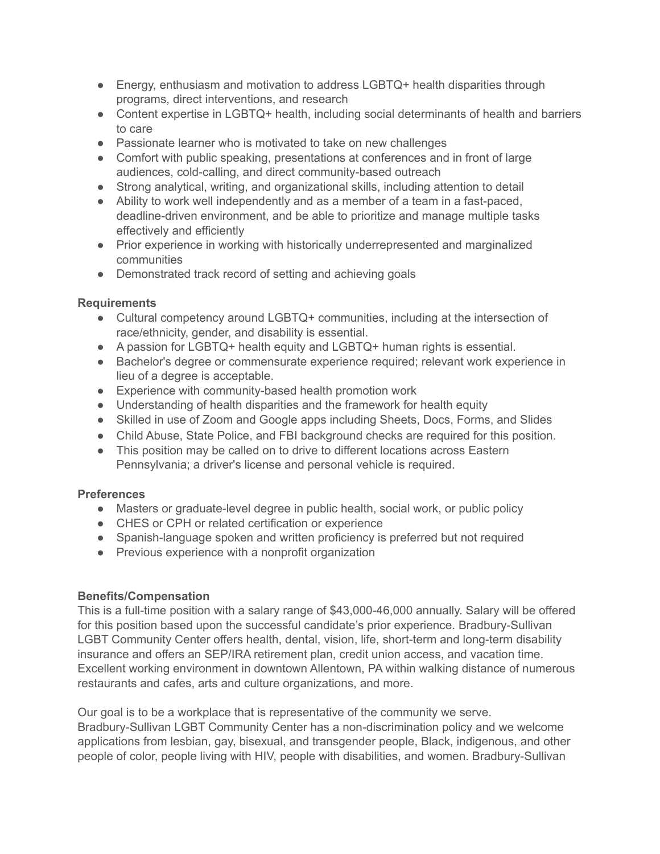- Energy, enthusiasm and motivation to address LGBTQ+ health disparities through programs, direct interventions, and research
- Content expertise in LGBTQ+ health, including social determinants of health and barriers to care
- Passionate learner who is motivated to take on new challenges
- Comfort with public speaking, presentations at conferences and in front of large audiences, cold-calling, and direct community-based outreach
- Strong analytical, writing, and organizational skills, including attention to detail
- Ability to work well independently and as a member of a team in a fast-paced, deadline-driven environment, and be able to prioritize and manage multiple tasks effectively and efficiently
- Prior experience in working with historically underrepresented and marginalized communities
- Demonstrated track record of setting and achieving goals

## **Requirements**

- Cultural competency around LGBTQ+ communities, including at the intersection of race/ethnicity, gender, and disability is essential.
- A passion for LGBTQ+ health equity and LGBTQ+ human rights is essential.
- Bachelor's degree or commensurate experience required; relevant work experience in lieu of a degree is acceptable.
- Experience with community-based health promotion work
- Understanding of health disparities and the framework for health equity
- Skilled in use of Zoom and Google apps including Sheets, Docs, Forms, and Slides
- Child Abuse, State Police, and FBI background checks are required for this position.
- This position may be called on to drive to different locations across Eastern Pennsylvania; a driver's license and personal vehicle is required.

# **Preferences**

- Masters or graduate-level degree in public health, social work, or public policy
- CHES or CPH or related certification or experience
- Spanish-language spoken and written proficiency is preferred but not required
- Previous experience with a nonprofit organization

# **Benefits/Compensation**

This is a full-time position with a salary range of \$43,000-46,000 annually. Salary will be offered for this position based upon the successful candidate's prior experience. Bradbury-Sullivan LGBT Community Center offers health, dental, vision, life, short-term and long-term disability insurance and offers an SEP/IRA retirement plan, credit union access, and vacation time. Excellent working environment in downtown Allentown, PA within walking distance of numerous restaurants and cafes, arts and culture organizations, and more.

Our goal is to be a workplace that is representative of the community we serve. Bradbury-Sullivan LGBT Community Center has a non-discrimination policy and we welcome applications from lesbian, gay, bisexual, and transgender people, Black, indigenous, and other people of color, people living with HIV, people with disabilities, and women. Bradbury-Sullivan